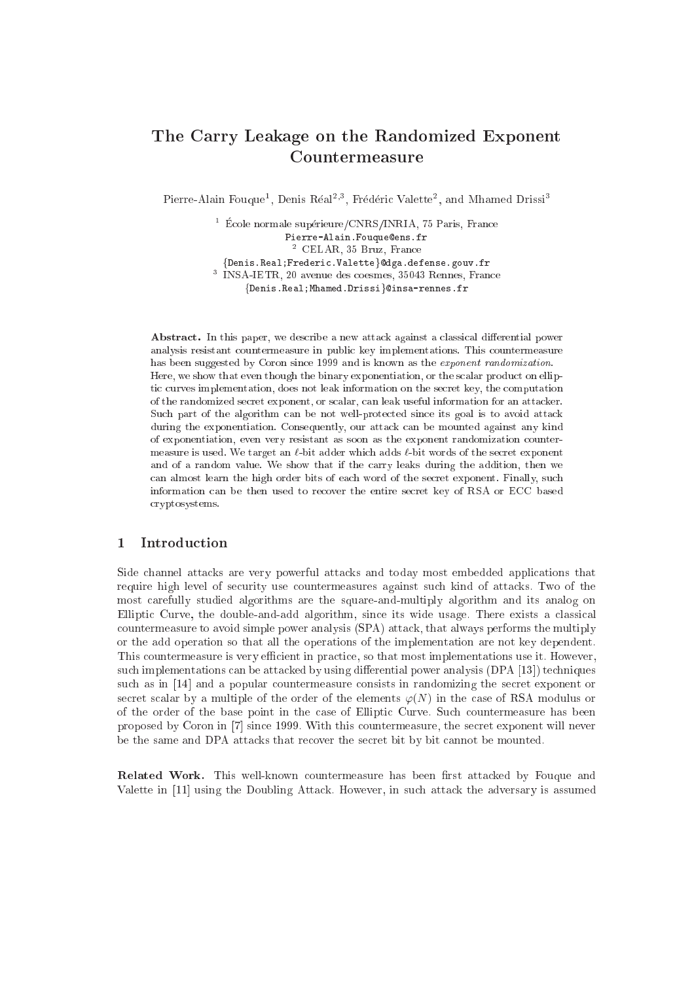# The Carry Leakage on the Randomized Exponent

Pierre-Alain Fouque<sup>-</sup>, Denis Real<sup>-, P</sup>iegeric valette-, and Mhamed Drissi<sup>-</sup>

F Ecole normale superieure/CNRS/INRIA, 75 Paris, France Pierre-Alain.Fouque@ens.fr <sup>-</sup> CELAR, 35 Bruz, France fDenis.Real;Frederi
.Valettegdga.defense.gouv.fr <sup>3</sup> INSA-IETR, 20 avenue des oesmes, 35043 Rennes, Fran
e {Denis.Real;Mhamed.Drissi}@insa-rennes.fr

Abstract. In this paper, we describe a new attack against a classical differential power analysis resistant ountermeasure in publi key implementations. This ountermeasure has been suggested by Coron sin
e 1999 and is known as the exponent randomization. Here, we show that even though the binary exponentiation, or the scalar product on elliptic curves implementation, does not leak information on the secret key, the computation of the randomized se
ret exponent, or s
alar, an leak useful information for an atta
ker. Such part of the algorithm can be not well-protected since its goal is to avoid attack during the exponentiation. Consequently, our atta
k an be mounted against any kind of exponentiation, even very resistant as soon as the exponent randomization ountermeasure is used. We target an  $\ell$ -bit adder which adds  $\ell$ -bit words of the secret exponent and of a random value. We show that if the arry leaks during the addition, then we can almost learn the high order bits of each word of the secret exponent. Finally, such information an be then used to re
over the entire se
ret key of RSA or ECC based ryptosystems.

# 1 Introduction

Side channel attacks are very powerful attacks and today most embedded applications that require high level of security use countermeasures against such kind of attacks. Two of the most arefully studied algorithms are the square-and-multiply algorithm and its analog on Elliptic Curve, the double-and-add algorithm, since its wide usage. There exists a classical countermeasure to avoid simple power analysis (SPA) attack, that always performs the multiply or the add operation so that all the operations of the implementation are not key dependent. This countermeasure is very efficient in practice, so that most implementations use it. However, such implementations can be attacked by using differential power analysis (DPA [13]) techniques such as in [14] and a popular countermeasure consists in randomizing the secret exponent or secret scalar by a multiple of the order of the elements  $\varphi(N)$  in the case of RSA modulus or of the order of the base point in the ase of Ellipti Curve. Su
h ountermeasure has been proposed by Coron in [7] since 1999. With this countermeasure, the secret exponent will never be the same and DPA atta
ks that re
over the se
ret bit by bit annot be mounted.

Related Work. This well-known countermeasure has been first attacked by Fouque and Valette in [11] using the Doubling Attack. However, in such attack the adversary is assumed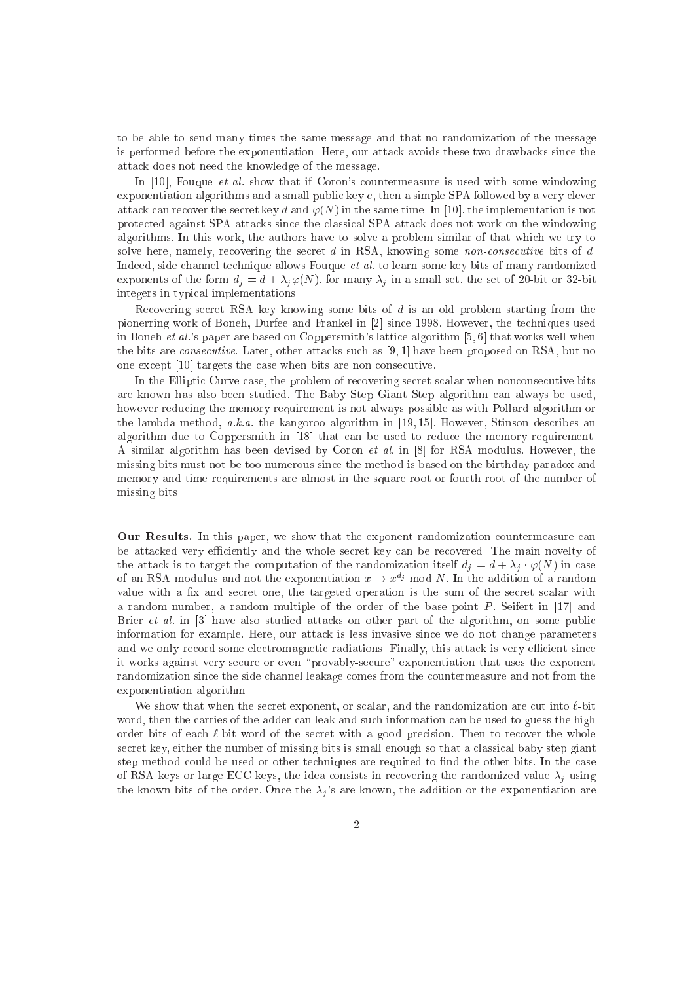to be able to send many times the same message and that no randomization of the message is performed before the exponentiation. Here, our atta
k avoids these two drawba
ks sin
e the atta
k does not need the knowledge of the message.

In  $[10]$ , Fouque *et al.* show that if Coron's countermeasure is used with some windowing exponentiation algorithms and a small public key e, then a simple SPA followed by a very clever attack can recover the secret key d and  $\varphi(N)$  in the same time. In [10], the implementation is not protected against SPA attacks since the classical SPA attack does not work on the windowing algorithms. In this work, the authors have to solve a problem similar of that whi
h we try to solve here, namely, recovering the secret d in RSA, knowing some non-consecutive bits of d. Indeed, side channel technique allows Fouque et al. to learn some key bits of many randomized exponents of the form  $d_j = d + \lambda_j \varphi(N)$ , for many  $\lambda_j$  in a small set, the set of 20-bit or 32-bit integers in typi
al implementations.

Recovering secret RSA key knowing some bits of d is an old problem starting from the pionerring work of Boneh, Durfee and Frankel in [2] since 1998. However, the techniques used in Boneh et al.'s paper are based on Coppersmith's lattice algorithm  $[5, 6]$  that works well when the bits are *consecutive*. Later, other attacks such as  $[9, 1]$  have been proposed on RSA, but no one except [10] targets the case when bits are non consecutive.

In the Elliptic Curve case, the problem of recovering secret scalar when nonconsecutive bits are known has also been studied. The Baby Step Giant Step algorithm an always be used, however reducing the memory requirement is not always possible as with Pollard algorithm or the lambda method,  $a.k.a.$  the kangoroo algorithm in [19,15]. However, Stinson describes an algorithm due to Coppersmith in  $[18]$  that can be used to reduce the memory requirement. A similar algorithm has been devised by Coron et al. in  $[8]$  for RSA modulus. However, the missing bits must not be too numerous sin
e the method is based on the birthday paradox and memory and time requirements are almost in the square root or fourth root of the number of missing bits.

**Our Results.** In this paper, we show that the exponent randomization countermeasure can be attacked very efficiently and the whole secret key can be recovered. The main novelty of the attack is to target the computation of the randomization itself  $d_i = d + \lambda_i \cdot \varphi(N)$  in case of an RSA modulus and not the exponentiation  $x \mapsto x^{d_j}$  mod N. In the addition of a random value with a fix and secret one, the targeted operation is the sum of the secret scalar with a random number, a random multiple of the order of the base point  $P$ . Seifert in [17] and Brier *et al.* in [3] have also studied attacks on other part of the algorithm, on some public information for example. Here, our atta
k is less invasive sin
e we do not hange parameters and we only record some electromagnetic radiations. Finally, this attack is very efficient since it works against very secure or even "provably-secure" exponentiation that uses the exponent randomization since the side channel leakage comes from the countermeasure and not from the exponentiation algorithm.

We show that when the secret exponent, or scalar, and the randomization are cut into  $\ell$ -bit word, then the carries of the adder can leak and such information can be used to guess the high order bits of each  $\ell$ -bit word of the secret with a good precision. Then to recover the whole secret key, either the number of missing bits is small enough so that a classical baby step giant step method could be used or other techniques are required to find the other bits. In the case of RSA keys or large ECC keys, the idea consists in recovering the randomized value  $\lambda_i$  using the known bits of the order. Once the  $\lambda_j$ 's are known, the addition or the exponentiation are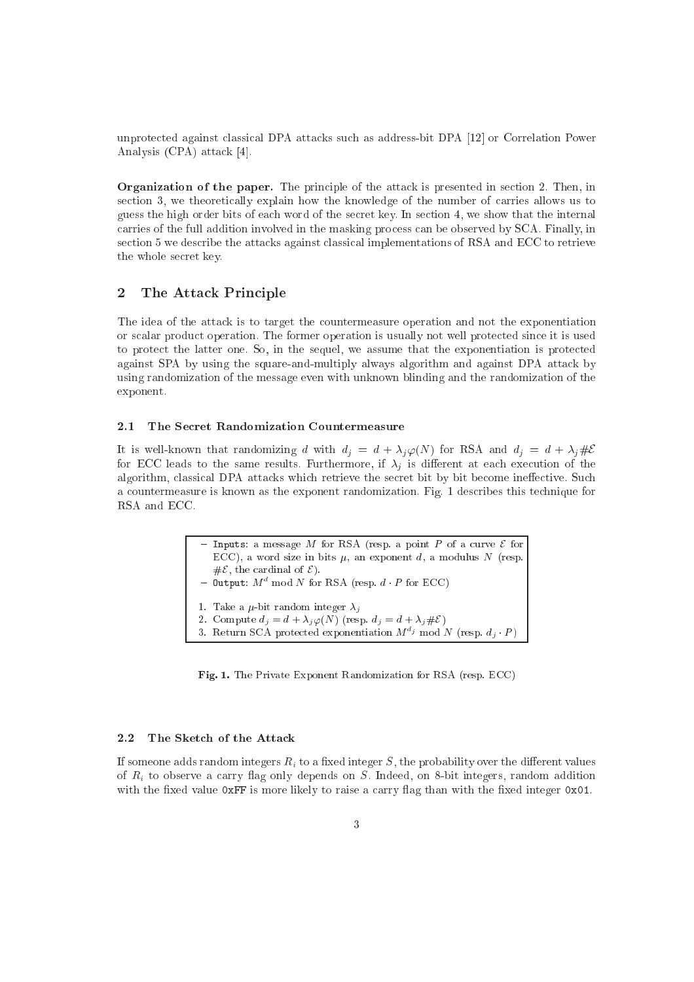unprotected against classical DPA attacks such as address-bit DPA [12] or Correlation Power Analysis  $(CPA)$  attack [4].

Organization of the paper. The principle of the attack is presented in section 2. Then, in section 3, we theoretically explain how the knowledge of the number of carries allows us to guess the high order bits of ea
h word of the se
ret key. In se
tion 4, we show that the internal carries of the full addition involved in the masking process can be observed by SCA. Finally, in section 5 we describe the attacks against classical implementations of RSA and ECC to retrieve the whole se
ret key.

# 2 The Attack Principle

The idea of the attack is to target the countermeasure operation and not the exponentiation or s
alar produ
t operation. The former operation is usually not well prote
ted sin
e it is used to protect the latter one. So, in the sequel, we assume that the exponentiation is protected against SPA by using the square-and-multiply always algorithm and against DPA atta
k by using randomization of the message even with unknown blinding and the randomization of the exponent.

#### $2.1$ The Secret Randomization Countermeasure

It is well-known that randomizing d with  $d_j = d + \lambda_j \varphi(N)$  for RSA and  $d_j = d + \lambda_j \# \mathcal{E}$ for ECC leads to the same results. Furthermore, if  $\lambda_j$  is different at each execution of the algorithm, classical DPA attacks which retrieve the secret bit by bit become ineffective. Such a ountermeasure is known as the exponent randomization. Fig. 1 des
ribes this te
hnique for RSA and ECC.

> - Inputs: a message M for RSA (resp. a point P of a curve  $\mathcal E$  for ECC), a word size in bits  $\mu$ , an exponent d, a modulus N (resp.  $\theta = \theta$ utput:  $M^d$  mod N for RSA (resp. d  $\theta$  for ECC) 1. Take a  $\mu$ -bit random integer  $\lambda_i$ 2. Compute  $d_i = d + \lambda_i \varphi(N)$  (resp.  $d_i = d + \lambda_i \# \mathcal{E}$ ) 3. Return SCA protected exponentiation  $M^{d_j}$  mod N (resp.  $d_j \cdot P$ )

Fig. 1. The Private Exponent Randomization for RSA (resp. ECC)

#### 2.2 The Sket
h of the Atta
k

If someone adds random integers  $R_i$  to a fixed integer S, the probability over the different values of  $R_i$  to observe a carry flag only depends on S. Indeed, on 8-bit integers, random addition with the fixed value  $0xFF$  is more likely to raise a carry flag than with the fixed integer  $0x01$ .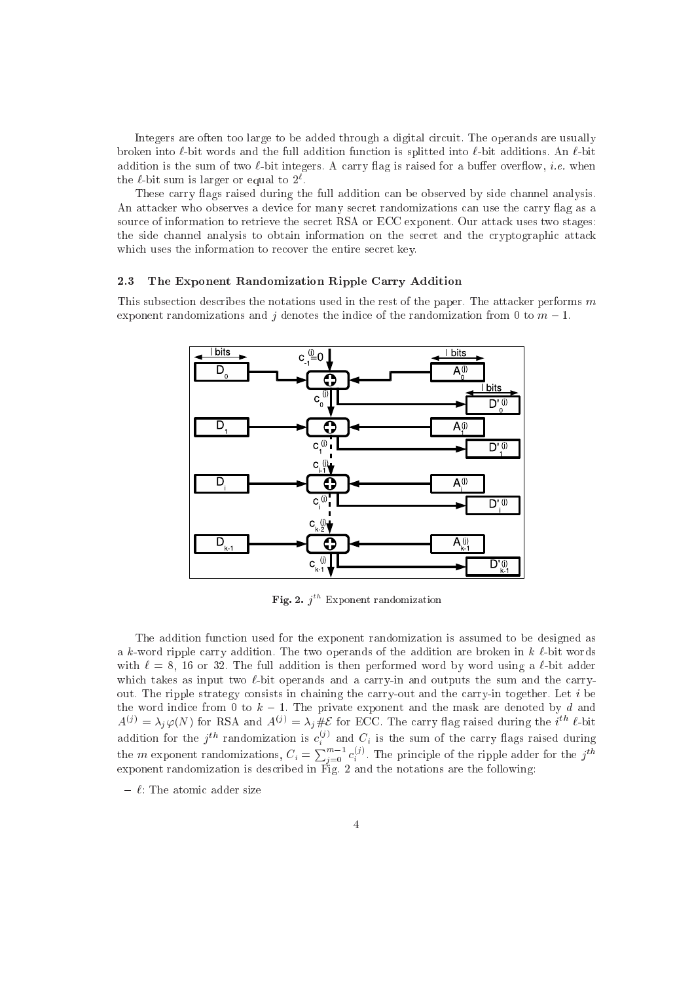Integers are often too large to be added through a digital circuit. The operands are usually broken into  $\ell$ -bit words and the full addition function is splitted into  $\ell$ -bit additions. An  $\ell$ -bit addition is the sum of two  $\ell$ -bit integers. A carry flag is raised for a buffer overflow, *i.e.* when the  $\ell$ -bit sum is larger or equal to  $2^{\ell}$ .

These carry flags raised during the full addition can be observed by side channel analysis. An attacker who observes a device for many secret randomizations can use the carry flag as a source of information to retrieve the secret RSA or ECC exponent. Our attack uses two stages: the side channel analysis to obtain information on the secret and the cryptographic attack which uses the information to recover the entire secret key.

## 2.3 The Exponent Randomization Ripple Carry Addition

This subsection describes the notations used in the rest of the paper. The attacker performs m exponent randomizations and j denotes the indice of the randomization from 0 to  $m-1$ .



Fig. 2. <sup>j</sup> th Exponent randomization

The addition function used for the exponent randomization is assumed to be designed as a k-word ripple carry addition. The two operands of the addition are broken in  $k \ell$ -bit words with  $\ell = 8$ , 16 or 32. The full addition is then performed word by word using a  $\ell$ -bit adder which takes as input two  $\ell$ -bit operands and a carry-in and outputs the sum and the carryout. The ripple strategy onsists in haining the arry-out and the arry-in together. Let i be the word indice from 0 to  $k-1$ . The private exponent and the mask are denoted by d and  $A^{(j)} = \lambda_j \varphi(N)$  for RSA and  $A^{(j)} = \lambda_j \# \mathcal{E}$  for ECC. The carry flag raised during the i<sup>th</sup>  $\ell$ -bit addition for the  $j<sup>th</sup>$  randomization is  $c<sub>i</sub><sup>(J)</sup>$  and  $C<sub>i</sub>$  is the sum of the carry flags raised during the m exponent randomizations,  $C_i = \sum_{j=0}^{m-1} c_i^{(j)}$ . The principle of the ripple adder for the  $j^{th}$ exponent randomization is des
ribed in Fig. 2 and the notations are the following:

 $\ell$ : The atomic adder size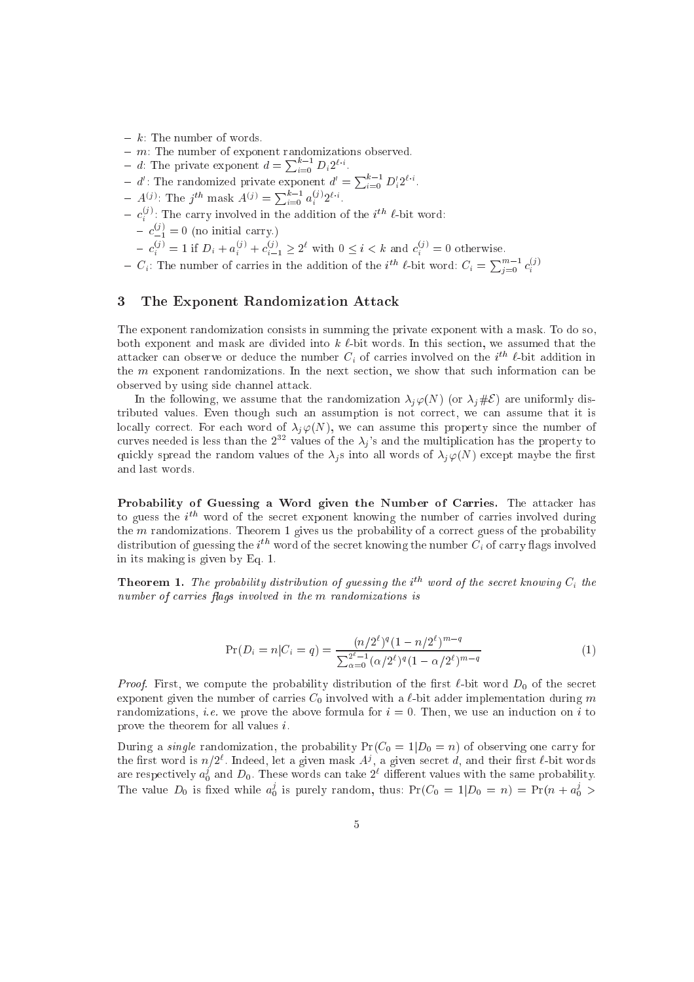- $k$ : The number of words.
- $m$ : The number of exponent randomizations observed.
- 
- d: The private exponent  $d = \sum_{i=0}^{k-1} D_i 2^{\ell \cdot i}$ .<br>  $d' = \sum_{i=0}^{k-1} D'_i 2^{\ell \cdot i}$ .<br>  $A^{(j)}$ : The j<sup>th</sup> mask  $A^{(j)} = \sum_{i=0}^{k-1} a_i^{(j)} 2^{\ell \cdot i}$ .
- 
- $-e^{i\theta}$ : The carry involved in the addition of the  $i^{th}$  l-bit word:
	- $-c_{-1}^{(j)}=0$  (no initial carry.)
	- $\{-c_i^{(j)}=1 \text{ if } D_i+a_i^{(j)}+c_{i-1}^{(j)}\geq 2^{\ell} \text{ with } 0\leq i < k \text{ and } c_i^{(j)}=0 \text{ otherwise.} \}$
- $C_i$ : The number of carries in the addition of the *i*<sup>th</sup>  $\ell$ -bit word:  $C_i = \sum_{i=0}^{m-1} c_i^{(j)}$

#### The Exponent Randomization Attack 3

The exponent randomization consists in summing the private exponent with a mask. To do so, both exponent and mask are divided into k  $\ell$ -bit words. In this section, we assumed that the attacker can observe or deduce the number  $C_i$  of carries involved on the  $i^{th}$   $\ell$ -bit addition in the  $m$  exponent randomizations. In the next section, we show that such information can be observed by using side hannel atta
k.

In the following, we assume that the randomization  $\lambda_j\varphi(N)$  (or  $\lambda_j\#\mathcal{E}$ ) are uniformly distributed values. Even though such an assumption is not correct, we can assume that it is locally correct. For each word of  $\lambda_i \varphi(N)$ , we can assume this property since the number of curves needed is less than the  $2^{32}$  values of the  $\lambda_j$ 's and the multiplication has the property to quickly spread the random values of the  $\lambda_j$ s into all words of  $\lambda_j \varphi(N)$  except maybe the first and last words.

Probability of Guessing a Word given the Number of Carries. The attacker has to guess the  $i^{th}$  word of the secret exponent knowing the number of carries involved during the  $m$  randomizations. Theorem 1 gives us the probability of a correct guess of the probability distribution of guessing the  $i^{th}$  word of the secret knowing the number  $C_i$  of carry flags involved in its making is given by Eq. 1.

**Theorem 1.** The probability distribution of quessing the i<sup>th</sup> word of the secret knowing  $C_i$  the number of arries ags involved in the m randomizations is

$$
\Pr(D_i = n | C_i = q) = \frac{(n/2^{\ell})^q (1 - n/2^{\ell})^{m-q}}{\sum_{\alpha=0}^{2^{\ell}-1} (\alpha/2^{\ell})^q (1 - \alpha/2^{\ell})^{m-q}}
$$
(1)

*Proof.* First, we compute the probability distribution of the first  $\ell$ -bit word  $D_0$  of the secret exponent given the number of carries  $C_0$  involved with a  $\ell$ -bit adder implementation during m randomizations, *i.e.* we prove the above formula for  $i = 0$ . Then, we use an induction on i to prove the theorem for all values i.

During a *single* randomization, the probability  $Pr(C_0 = 1|D_0 = n)$  of observing one carry for the first word is  $n/2^{\ell}$ . Indeed, let a given mask  $A^{j}$ , a given secret d, and their first  $\ell$ -bit words are respectively  $a_0^j$  and  $D_0$ . These words can take  $2^{\ell}$  different values with the same probability. The value  $D_0$  is fixed while  $a_0^j$  is purely random, thus:  $Pr(C_0 = 1|D_0 = n) = Pr(n + a_0^j >$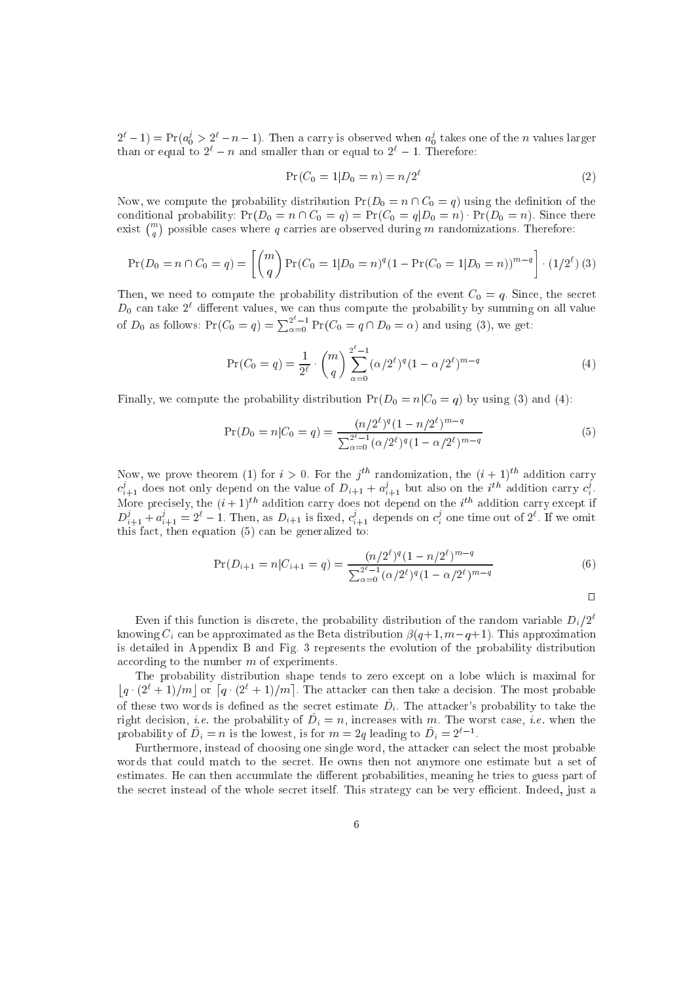$2^i-1$ ) =  $Pr(a_0^i > 2^i - n - 1)$ . Then a carry is observed when  $a_0^i$  takes one of the n values larger than or equal to  $2^\circ = n$  and smaller than or equal to  $2^\circ = 1$ . Therefore:

$$
Pr(C_0 = 1 | D_0 = n) = n/2^{\ell}
$$
\n(2)

Now, we compute the probability distribution  $Pr(D_0 = n \cap C_0 = q)$  using the definition of the conditional probability:  $Pr(D_0 = n \cap C_0 = q) = Pr(C_0 = q | D_0 = n)$ . Pr $(D_0 = n)$ . Since there exist  $\binom{m}{a}$  possible cases where q carries are observed during m randomizations. Therefore:

 $\sim$ 

$$
Pr(D_0 = n \cap C_0 = q) = \left[ \binom{m}{q} Pr(C_0 = 1 | D_0 = n)^q (1 - Pr(C_0 = 1 | D_0 = n))^{m-q} \right] \cdot (1/2^{\ell})
$$
 (3)

Then, we need to compute the probability distribution of the event  $C_0 = q$ . Since, the secret  $D_0$  can take  $2^t$  different values, we can thus compute the probability by summing on all value of  $D_0$  as follows:  $Pr(C_0 = q) = \sum_{\alpha=0}^{2^{\ell}-1} Pr(C_0 = q \cap D_0 = \alpha)$  and using (3), we get:

$$
\Pr(C_0 = q) = \frac{1}{2^{\ell}} \cdot {m \choose q} \sum_{\alpha=0}^{2^{\ell}-1} (\alpha/2^{\ell})^q (1 - \alpha/2^{\ell})^{m-q}
$$
(4)

Finally, we compute the probability distribution  $Pr(D_0 = n | C_0 = q)$  by using (3) and (4):

$$
\Pr(D_0 = n | C_0 = q) = \frac{(n/2^{\ell})^q (1 - n/2^{\ell})^{m-q}}{\sum_{\alpha=0}^{2^{\ell}-1} (\alpha/2^{\ell})^q (1 - \alpha/2^{\ell})^{m-q}}
$$
(5)

Now, we prove theorem (1) for  $i > 0$ . For the  $j<sup>th</sup>$  randomization, the  $(i + 1)<sup>th</sup>$  addition carry  $c'_{i+1}$  does not only depend on the value of  $D_{i+1} + a'_{i+1}$  but also on the  $i^{th}$  addition carry  $c'_{i}$ . More precisely, the  $(i + 1)^{th}$  addition carry does not depend on the  $i^{th}$  addition carry except if  $D_{i+1}^j + a_{i+1}^j = 2^{\ell} - 1$ . Then, as  $D_{i+1}$  is fixed,  $c_{i+1}^j$  depends on  $c_i^j$  one time out of  $2^{\ell}$ . If we o this fa
t, then equation (5) an be generalized to:

$$
\Pr(D_{i+1} = n | C_{i+1} = q) = \frac{(n/2^{\ell})^q (1 - n/2^{\ell})^{m-q}}{\sum_{\alpha=0}^{2^{\ell}-1} (\alpha/2^{\ell})^q (1 - \alpha/2^{\ell})^{m-q}}
$$
(6)

$$
\Box
$$

Even if this function is discrete, the probability distribution of the random variable  $D_i/2^i$ knowing  $C_i$  can be approximated as the Beta distribution  $\beta(q+1, m-q+1)$ . This approximation is detailed in Appendix B and Fig. 3 represents the evolution of the probability distribution  $according to the number  $m$  of experiments.$ 

The probability distribution shape tends to zero ex
ept on a lobe whi
h is maximal for  $|q \cdot (2^{\ell}+1)/m|$  or  $|q \cdot (2^{\ell}+1)/m|$ . The attacker can then take a decision. The most probable of these two words is defined as the secret estimate  $D_i$ . The attacker's probability to take the right decision, *i.e.* the probability of  $D_i = n$ , increases with m. The worst case, *i.e.* when the probability of  $D_i = n$  is the lowest, is for  $m = 2q$  leading to  $D_i = 2^{\ell-1}$ .

Furthermore, instead of choosing one single word, the attacker can select the most probable words that could match to the secret. He owns then not anymore one estimate but a set of estimates. He can then accumulate the different probabilities, meaning he tries to guess part of the secret instead of the whole secret itself. This strategy can be very efficient. Indeed, just a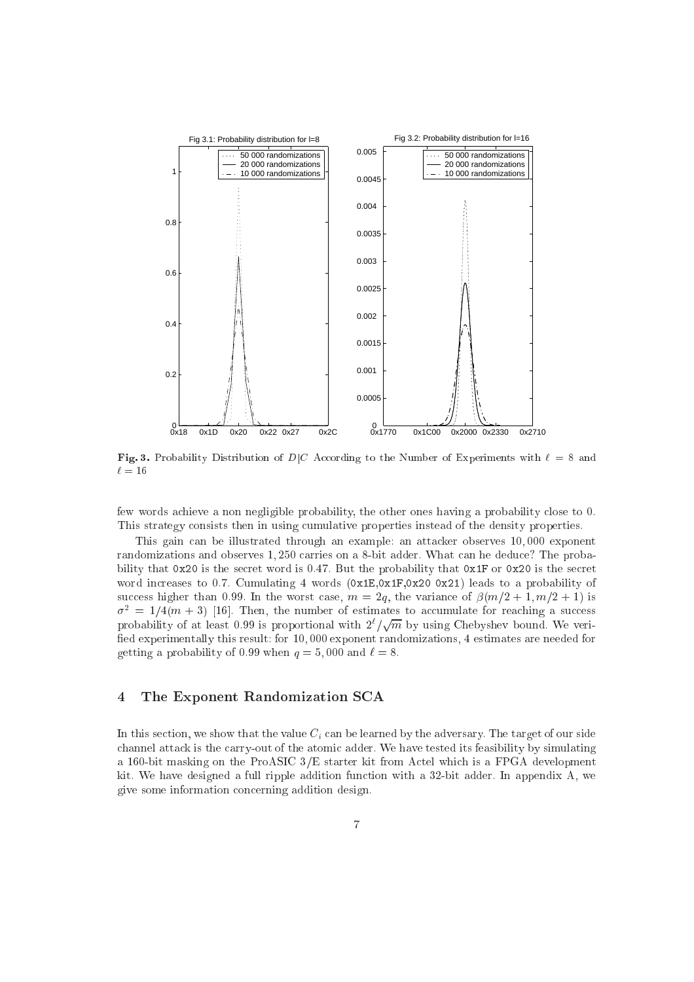

Fig. 3. Probability Distribution of  $D|C$  According to the Number of Experiments with  $\ell = 8$  and  $\ell = 16$ 

few words achieve a non negligible probability, the other ones having a probability close to 0. This strategy consists then in using cumulative properties instead of the density properties.

This gain can be illustrated through an example: an attacker observes 10,000 exponent randomizations and observes 1,250 carries on a 8-bit adder. What can he deduce? The probability that  $0x20$  is the secret word is 0.47. But the probability that  $0x1F$  or  $0x20$  is the secret word increases to 0.7. Cumulating 4 words  $(0x1E,0x1F,0x200x21)$  leads to a probability of success higher than 0.99. In the worst case,  $m = 2q$ , the variance of  $\beta(m/2 + 1, m/2 + 1)$  is  $\sigma^2 = 1/4(m + 3)$  [16]. Then, the number of estimates to accumulate for reaching a success probability of at least 0.99 is proportional with  $2^{\ell}/\sqrt{m}$  by using Chebyshev bound. We verified experimentally this result: for 10,000 exponent randomizations, 4 estimates are needed for getting a probability of 0.99 when  $q = 5,000$  and  $\ell = 8$ .

#### $\overline{\mathbf{4}}$ 4 The Exponent Randomization SCA

In this section, we show that the value  $C_i$  can be learned by the adversary. The target of our side hannel atta
k is the arry-out of the atomi adder. We have tested its feasibility by simulating a 160-bit masking on the ProASIC  $3/E$  starter kit from Actel which is a FPGA development kit. We have designed a full ripple addition fun
tion with a 32-bit adder. In appendix A, we give some information on
erning addition design.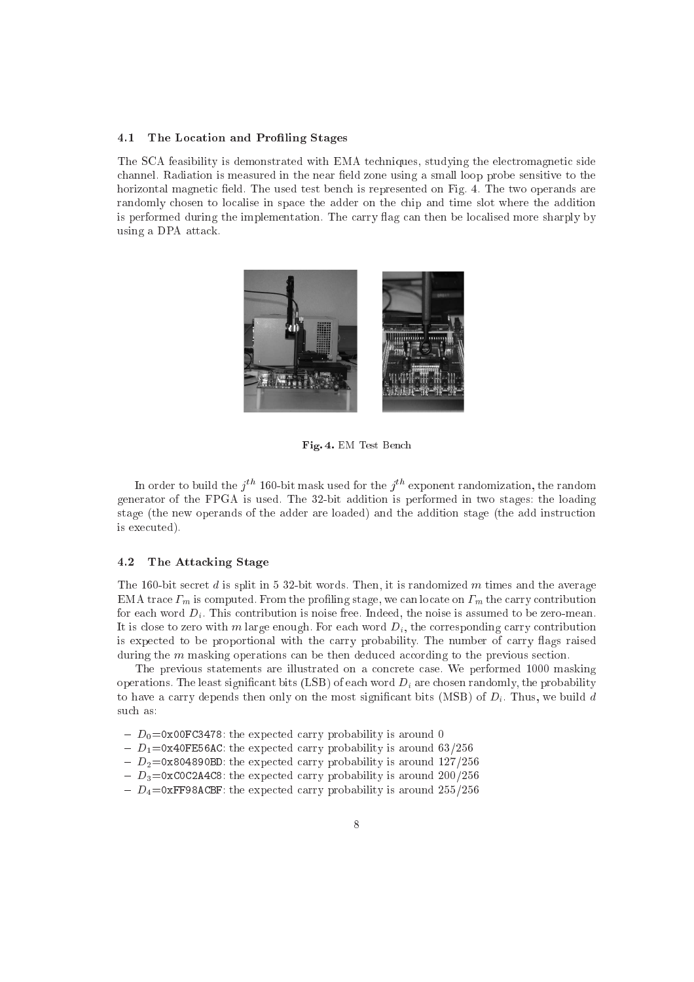#### $4.1$ The Location and Profiling Stages

The SCA feasibility is demonstrated with EMA techniques, studying the electromagnetic side channel. Radiation is measured in the near field zone using a small loop probe sensitive to the horizontal magnetic field. The used test bench is represented on Fig. 4. The two operands are randomly chosen to localise in space the adder on the chip and time slot where the addition is performed during the implementation. The carry flag can then be localised more sharply by using a DPA atta
k.



Fig. 4. EM Test Ben
h

In order to build the  $j<sup>th</sup>$  160-bit mask used for the  $j<sup>th</sup>$  exponent randomization, the random generator of the FPGA is used. The 32-bit addition is performed in two stages: the loading stage (the new operands of the adder are loaded) and the addition stage (the add instru
tion is exe
uted).

#### 4.2 The Attacking Stage

The 160-bit secret d is split in 5 32-bit words. Then, it is randomized m times and the average EMA trace  $\Gamma_m$  is computed. From the profiling stage, we can locate on  $\Gamma_m$  the carry contribution for each word  $D_i$ . This contribution is noise free. Indeed, the noise is assumed to be zero-mean. It is close to zero with m large enough. For each word  $D_i$ , the corresponding carry contribution is expected to be proportional with the carry probability. The number of carry flags raised during the  $m$  masking operations can be then deduced according to the previous section.

The previous statements are illustrated on a concrete case. We performed 1000 masking operations. The least significant bits  $(LSB)$  of each word  $D_i$  are chosen randomly, the probability to have a carry depends then only on the most significant bits (MSB) of  $D_i$ . Thus, we build d such as:

- $-D_0$ =0x00FC3478: the expected carry probability is around 0
- $-D_1=0x40FE56AC$ : the expected carry probability is around 63/256
- $= D_2 = 0x804890BD$ : the expected carry probability is around 127/256
- $= D_3 = 0 \times 0$ COC2A4C8: the expected carry probability is around 200/256
- $-D_4$ =0xFF98ACBF: the expected carry probability is around 255/256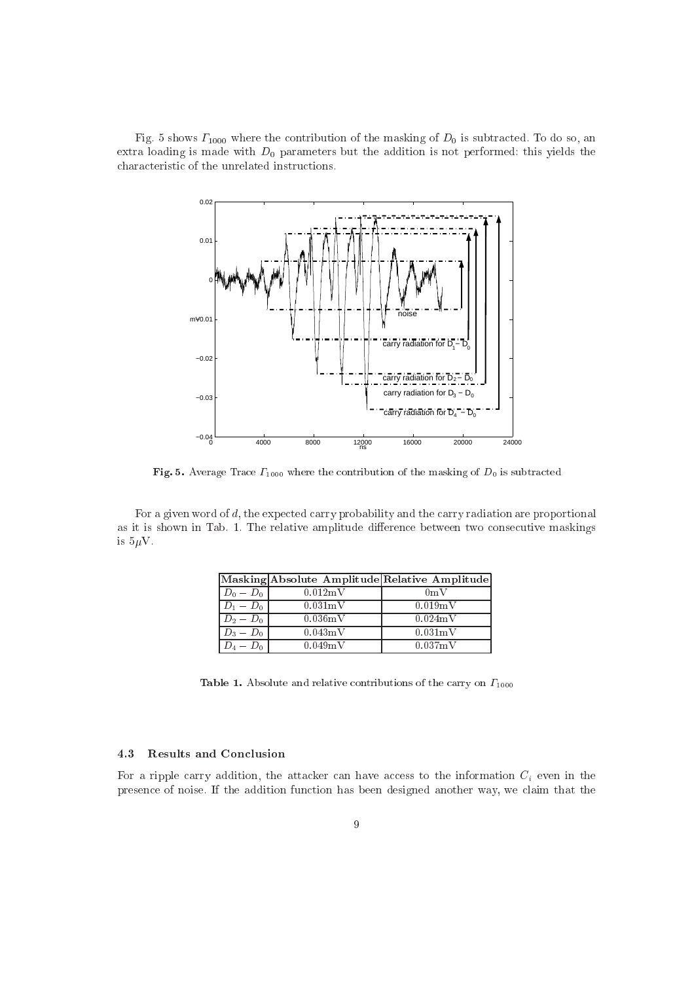Fig. 5 shows  $\Gamma_{1000}$  where the contribution of the masking of  $D_0$  is subtracted. To do so, an extra loading is made with  $D_0$  parameters but the addition is not performed: this yields the hara
teristi of the unrelated instru
tions.



Fig. 5. Average Trace  $\Gamma_{1000}$  where the contribution of the masking of  $D_0$  is subtracted

For a given word of d, the expe
ted arry probability and the arry radiation are proportional as it is shown in Tab. 1. The relative amplitude difference between two consecutive maskings is  $5\mu$ V.

|             | Masking Absolute Amplitude Relative Amplitude |                   |
|-------------|-----------------------------------------------|-------------------|
| $D_0 - D_0$ | $0.012 \text{mV}$                             | 0mV               |
| $D_1 - D_0$ | $0.031 \text{mV}$                             | 0.019mV           |
| $D_2 - D_0$ | $0.036 \text{mV}$                             | $0.024 \text{mV}$ |
| $D_3 - D_0$ | $0.043 \text{mV}$                             | $0.031 \text{mV}$ |
| $D_0$       | 0.049mV                                       | $0.037 \text{mV}$ |

Table 1. Absolute and relative contributions of the carry on  $\Gamma_{1000}$ 

## 4.3 Results and Con
lusion

For a ripple carry addition, the attacker can have access to the information  $C_i$  even in the presence of noise. If the addition function has been designed another way, we claim that the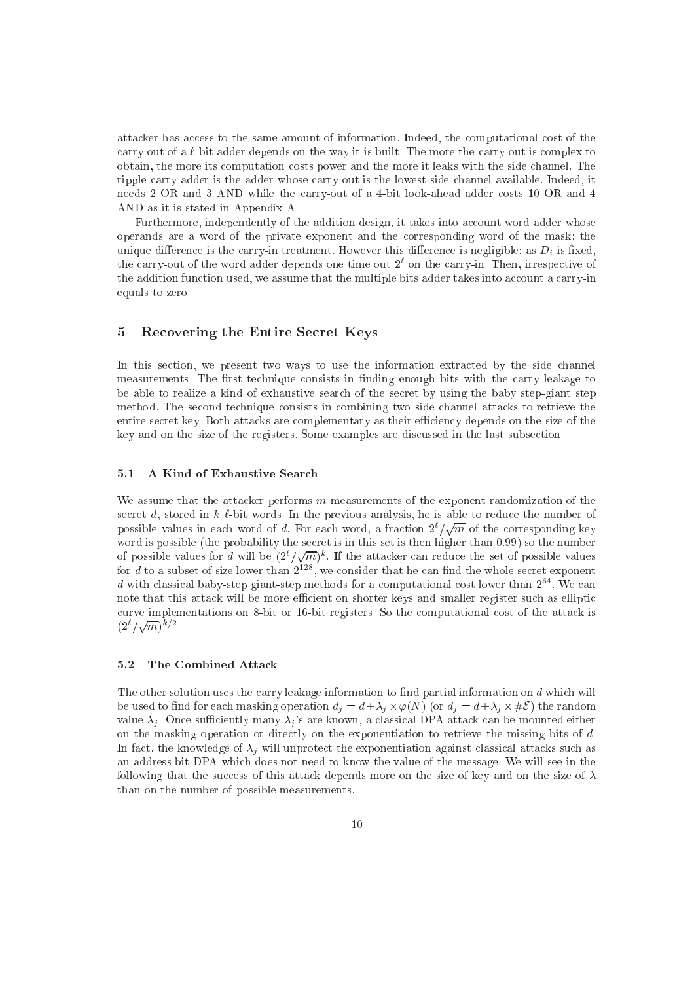attacker has access to the same amount of information. Indeed, the computational cost of the carry-out of a  $\ell$ -bit adder depends on the way it is built. The more the carry-out is complex to obtain, the more its omputation osts power and the more it leaks with the side hannel. The ripple arry adder is the adder whose arry-out is the lowest side hannel available. Indeed, it needs 2 OR and 3 AND while the arry-out of a 4-bit look-ahead adder osts 10 OR and 4 AND as it is stated in Appendix A.

Furthermore, independently of the addition design, it takes into account word adder whose operands are a word of the private exponent and the orresponding word of the mask: the unique difference is the carry-in treatment. However this difference is negligible: as  $D_i$  is fixed, the arry-out of the word adder depends one time out 2` on the arry-in. Then, irrespe
tive of the addition function used, we assume that the multiple bits adder takes into account a carry-in equals to zero.

## 5 Recovering the Entire Secret Keys

In this section, we present two ways to use the information extracted by the side channel measurements. The first technique consists in finding enough bits with the carry leakage to be able to realize a kind of exhaustive search of the secret by using the baby step-giant step method. The second technique consists in combining two side channel attacks to retrieve the entire secret key. Both attacks are complementary as their efficiency depends on the size of the key and on the size of the registers. Some examples are discussed in the last subsection.

#### 5.1 A Kind of Exhaustive Sear
h

We assume that the attacker performs  $m$  measurements of the exponent randomization of the secret d, stored in  $k \ell$ -bit words. In the previous analysis, he is able to reduce the number of possible values in each word of d. For each word, a fraction  $2^{\ell}/\sqrt{m}$  of the corresponding key word is possible (the probability the secret is in this set is then higher than 0.99) so the number of possible values for d will be  $(2^{\ell}/\sqrt{m})^k$ . If the attacker can reduce the set of possible values for d to a subset of size lower than  $2^{128}$ , we consider that he can find the whole secret exponent d with classical baby-step giant-step methods for a computational cost lower than  $2^{64}$ . We can note that this attack will be more efficient on shorter keys and smaller register such as elliptic curve implementations on 8-bit or 16-bit registers. So the computational cost of the attack is  $(2^{\ell}/\sqrt{m})^{k/2}$ .

### 5.2 The Combined Atta
k

The other solution uses the carry leakage information to find partial information on  $d$  which will be used to find for each masking operation  $d_j = d + \lambda_j \times \varphi(N)$  (or  $d_j = d + \lambda_j \times \#\mathcal{E}$ ) the random value  $\lambda_j$ . Once sufficiently many  $\lambda_j$ 's are known, a classical DPA attack can be mounted either on the masking operation or directly on the exponentiation to retrieve the missing bits of  $d$ . In fact, the knowledge of  $\lambda_i$  will unprotect the exponentiation against classical attacks such as an address bit DPA whi
h does not need to know the value of the message. We will see in the following that the success of this attack depends more on the size of key and on the size of  $\lambda$ than on the number of possible measurements.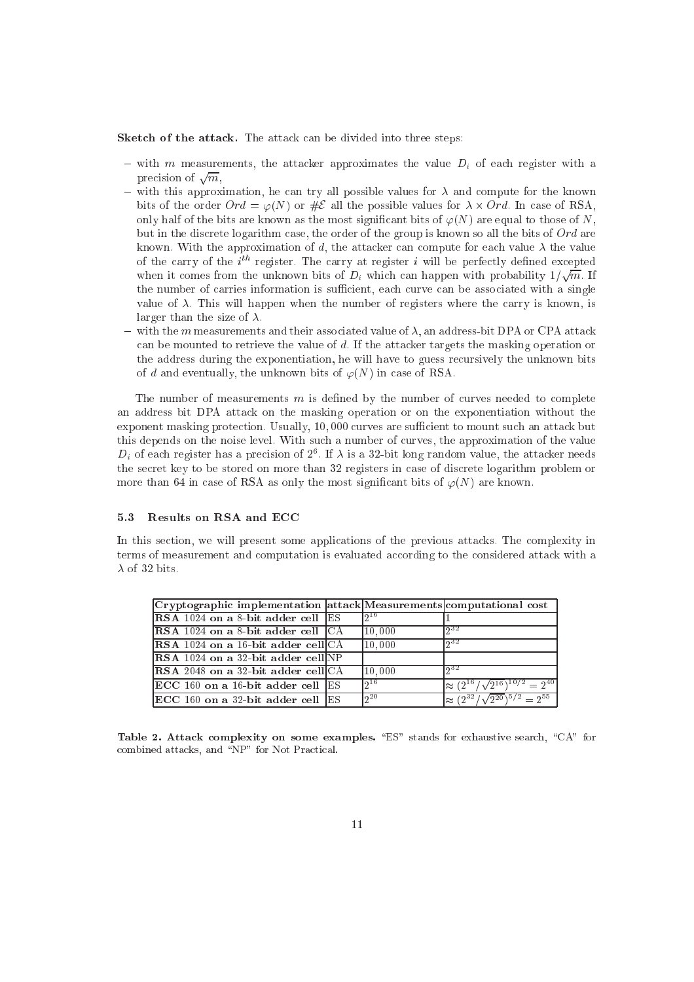Sketch of the attack. The attack can be divided into three steps:

- with m measurements, the attacker approximates the value  $D_i$  of each register with a precision of  $\sqrt{m}$ .
- $=$  with this approximation, he can try all possible values for  $\lambda$  and compute for the known bits of the order  $Ord = \varphi(N)$  or #E all the possible values for  $\lambda \times Ord$ . In case of RSA, only half of the bits are known as the most significant bits of  $\varphi(N)$  are equal to those of N, but in the discrete logarithm case, the order of the group is known so all the bits of  $Ord$  are known. With the approximation of d, the attacker can compute for each value  $\lambda$  the value of the carry of the  $i^{th}$  register. The carry at register i will be perfectly defined excepted when it comes from the unknown bits of  $D_i$  which can happen with probability  $1/\sqrt{m}$ . If the number of carries information is sufficient, each curve can be associated with a single value of  $\lambda$ . This will happen when the number of registers where the carry is known, is larger than the size of  $\lambda$ .
- with the m measurements and their associated value of  $\lambda$ , an address-bit DPA or CPA attack can be mounted to retrieve the value of  $d$ . If the attacker targets the masking operation or the address during the exponentiation, he will have to guess re
ursively the unknown bits of d and eventually, the unknown bits of  $\varphi(N)$  in case of RSA.

The number of measurements  $m$  is defined by the number of curves needed to complete an address bit DPA atta
k on the masking operation or on the exponentiation without the exponent masking protection. Usually, 10,000 curves are sufficient to mount such an attack but this depends on the noise level. With such a number of curves, the approximation of the value  $D_i$  of each register has a precision of 2<sup>6</sup>. If  $\lambda$  is a 32-bit long random value, the attacker needs the se
ret key to be stored on more than 32 registers in ase of dis
rete logarithm problem or more than 64 in case of RSA as only the most significant bits of  $\varphi(N)$  are known.

### 5.3 Results on RSA and ECC

In this section, we will present some applications of the previous attacks. The complexity in terms of measurement and computation is evaluated according to the considered attack with a  $\lambda$  of 32 bits.

| Cryptographic implementation attack Measurements computational cost |              |                                                                     |
|---------------------------------------------------------------------|--------------|---------------------------------------------------------------------|
| RSA 1024 on a 8-bit adder cell ES                                   | $2^{16}$     |                                                                     |
| IRSA 1024 on a 8-bit adder cell ICA                                 | 10,000       | $10^{32}$                                                           |
| $\vert$ RSA 1024 on a 16-bit adder cell $\vert$ CA                  | 10,000       | ე32                                                                 |
| <b>RSA</b> 1024 on a 32-bit adder cellINP                           |              |                                                                     |
| $ $ RSA 2048 on a 32-bit adder cell $ $ CA                          | 10.000       | 1932                                                                |
| ECC 160 on a 16-bit adder cell ES                                   | $\sqrt{216}$ | $\sqrt{2^{16}}$ <sup>10/2</sup><br>$= 2^{40}$<br>$\approx (2^{16}/$ |
| $ ECC 160$ on a 32-bit adder cell $ ES$                             | $2^{20}$     | $\approx (2^{32}/\sqrt{2^{20}})^{5/2} = 2^{55}$                     |

Table 2. Attack complexity on some examples. "ES" stands for exhaustive search, "CA" for combined attacks, and "NP" for Not Practical.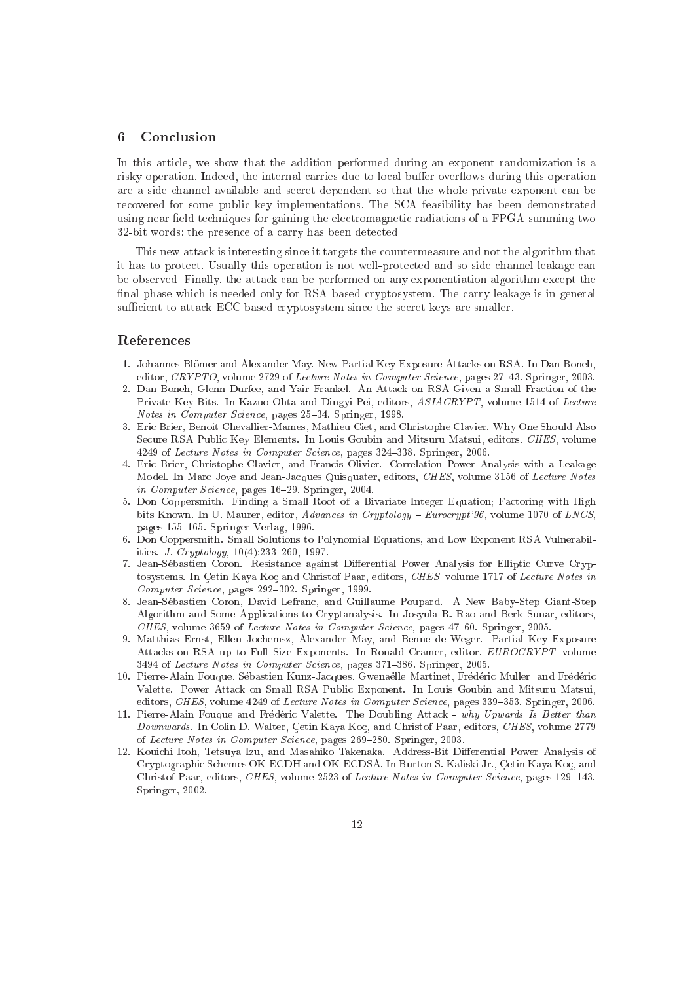#### 6 Conclusion

In this arti
le, we show that the addition performed during an exponent randomization is a risky operation. Indeed, the internal carries due to local buffer overflows during this operation are a side hannel available and se
ret dependent so that the whole private exponent an be recovered for some public key implementations. The SCA feasibility has been demonstrated using near field techniques for gaining the electromagnetic radiations of a FPGA summing two 32-bit words: the presen
e of a arry has been dete
ted.

This new attack is interesting since it targets the countermeasure and not the algorithm that it has to prote
t. Usually this operation is not well-prote
ted and so side hannel leakage an be observed. Finally, the attack can be performed on any exponentiation algorithm except the final phase which is needed only for RSA based cryptosystem. The carry leakage is in general sufficient to attack ECC based cryptosystem since the secret keys are smaller.

## Referen
es

- 1. Johannes Blömer and Alexander May. New Partial Key Exposure Attacks on RSA. In Dan Boneh, editor, CRYPTO, volume 2729 of Lecture Notes in Computer Science, pages 27-43. Springer, 2003.
- 2. Dan Boneh, Glenn Durfee, and Yair Frankel. An Atta
k on RSA Given a Small Fra
tion of the Private Key Bits. In Kazuo Ohta and Dingyi Pei, editors, ASIACRYPT, volume 1514 of Lecture Notes in Computer Science, pages 25-34. Springer, 1998.
- 3. Eric Brier, Benoît Chevallier-Mames, Mathieu Ciet, and Christophe Clavier. Why One Should Also Secure RSA Public Key Elements. In Louis Goubin and Mitsuru Matsui, editors, CHES, volume 4249 of Lecture Notes in Computer Science, pages 324-338. Springer, 2006.
- 4. Eri Brier, Christophe Clavier, and Fran
is Olivier. Correlation Power Analysis with a Leakage Model. In Marc Joye and Jean-Jacques Quisquater, editors, CHES, volume 3156 of Lecture Notes in Computer Science, pages 16-29. Springer, 2004.
- 5. Don Coppersmith. Finding a Small Root of a Bivariate Integer Equation; Factoring with High bits Known. In U. Maurer, editor, Advances in Cryptology - Eurocrypt'96, volume 1070 of LNCS, pages 155-165. Springer-Verlag, 1996.
- 6. Don Coppersmith. Small Solutions to Polynomial Equations, and Low Exponent RSA Vulnerabilities. *J. Cryptology*,  $10(4):233{-}260$ , 1997.
- 7. Jean-Sébastien Coron. Resistance against Differential Power Analysis for Elliptic Curve Cryptosystems. In Çetin Kaya Koç and Christof Paar, editors, CHES, volume 1717 of Lecture Notes in Computer Science, pages 292–302. Springer, 1999.
- 8. Jean-Sebastien Coron, David Lefran
, and Guillaume Poupard. A New Baby-Step Giant-Step Algorithm and Some Appli
ations to Cryptanalysis. In Josyula R. Rao and Berk Sunar, editors, CHES, volume 3659 of Lecture Notes in Computer Science, pages 47–60. Springer, 2005.
- 9. Matthias Ernst, Ellen Jo
hemsz, Alexander May, and Benne de Weger. Partial Key Exposure Atta
ks on RSA up to Full Size Exponents. In Ronald Cramer, editor, EUROCRYPT, volume 3494 of Lecture Notes in Computer Science, pages 371-386. Springer, 2005.
- 10. Pierre-Alain Fouque, Sébastien Kunz-Jacques, Gwenaëlle Martinet, Frédéric Muller, and Frédéric Valette. Power Atta
k on Small RSA Publi Exponent. In Louis Goubin and Mitsuru Matsui, editors, CHES, volume 4249 of Lecture Notes in Computer Science, pages 339–353. Springer, 2006.
- 11. Pierre-Alain Fouque and Frédéric Valette. The Doubling Attack why Upwards Is Better than Downwards. In Colin D. Walter, Çetin Kaya Koç, and Christof Paar, editors, CHES, volume 2779 of Lecture Notes in Computer Science, pages 269-280. Springer, 2003.
- 12. Kouichi Itoh, Tetsuya Izu, and Masahiko Takenaka. Address-Bit Differential Power Analysis of Cryptographic Schemes OK-ECDH and OK-ECDSA. In Burton S. Kaliski Jr., Çetin Kaya Koç, and Christof Paar, editors, CHES, volume 2523 of Lecture Notes in Computer Science, pages 129-143. Springer, 2002.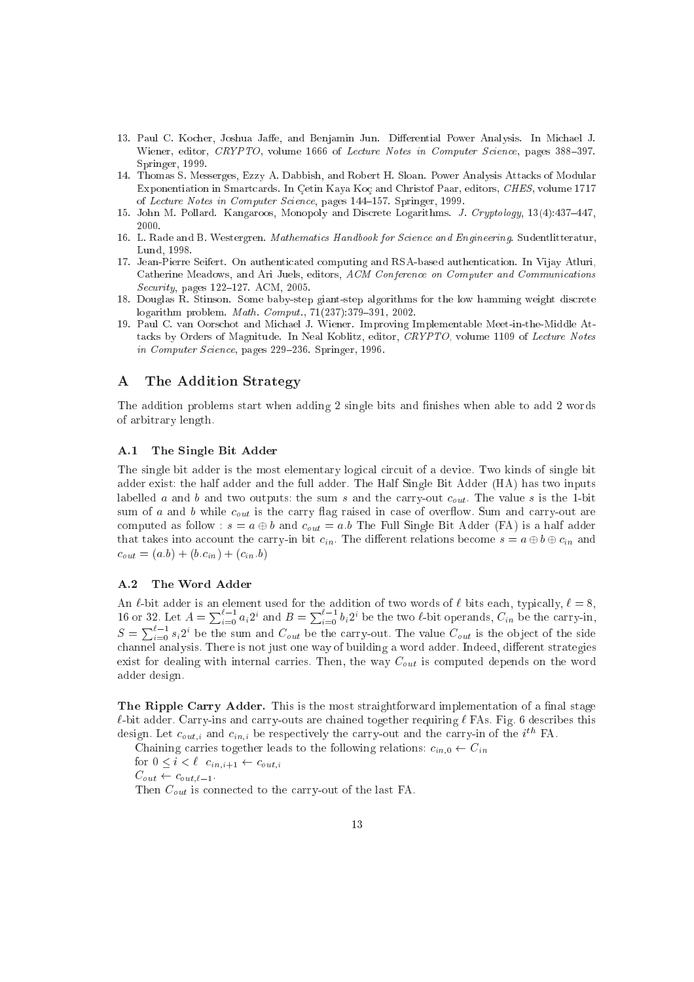- 13. Paul C. Kocher, Joshua Jaffe, and Benjamin Jun. Differential Power Analysis. In Michael J. Wiener, editor, CRYPTO, volume 1666 of Lecture Notes in Computer Science, pages 388-397. Springer, 1999.
- 14. Thomas S. Messerges, Ezzy A. Dabbish, and Robert H. Sloan. Power Analysis Atta
ks of Modular Exponentiation in Smartcards. In Cetin Kaya Koç and Christof Paar, editors, CHES, volume 1717 of Lecture Notes in Computer Science, pages 144-157. Springer, 1999.
- 15. John M. Pollard. Kangaroos, Monopoly and Discrete Logarithms. J. Cryptology,  $13(4):437-447$ , 2000.
- 16. L. Rade and B. Westergren. Mathematics Handbook for Science and Engineering. Sudentlitteratur, Lund, 1998.
- 17. Jean-Pierre Seifert. On authenti
ated omputing and RSA-based authenti
ation. In Vijay Atluri, Catherine Meadows, and Ari Juels, editors, ACM Conference on Computer and Communications Security, pages 122-127. ACM, 2005.
- 18. Douglas R. Stinson. Some baby-step giant-step algorithms for the low hamming weight dis
rete  $logarithm$  problem.  $Math.$   $Comput.$ ,  $71(237):379-391, 2002.$
- 19. Paul C. van Oors
hot and Mi
hael J. Wiener. Improving Implementable Meet-in-the-Middle Attacks by Orders of Magnitude. In Neal Koblitz, editor, CRYPTO, volume 1109 of Lecture Notes in Computer Science, pages 229-236. Springer, 1996.

# A The Addition Strategy

The addition problems start when adding 2 single bits and finishes when able to add 2 words of arbitrary length.

## A.1 The Single Bit Adder

The single bit adder is the most elementary logical circuit of a device. Two kinds of single bit adder exist: the half adder and the full adder. The Half Single Bit Adder (HA) has two inputs labelled a and b and two outputs: the sum s and the carry-out  $c_{out}$ . The value s is the 1-bit sum of a and b while  $c_{out}$  is the carry flag raised in case of overflow. Sum and carry-out are computed as follow:  $s = a \oplus b$  and  $c_{out} = a.b$  The Full Single Bit Adder (FA) is a half adder that takes into account the carry-in bit  $c_{in}$ . The different relations become  $s = a \oplus b \oplus c_{in}$  and  $c_{out} = (a.b) + (b.c_{in}) + (c_{in}.b)$ 

#### A.2 The Word Adder

An  $\ell$ -bit adder is an element used for the addition of two words of  $\ell$  bits each, typically,  $\ell = 8$ , 16 or 32. Let  $A = \sum_{i=0}^{t-1} a_i 2^i$  and  $B = \sum_{i=0}^{t-1} b_i 2^i$  be the two *l*-bit operands,  $C_{in}$  be the carry-in,  $S = \sum_{i=0}^{t-1} s_i 2^i$  be the sum and  $C_{out}$  be the carry-out. The value  $C_{out}$  is the object of the side channel analysis. There is not just one way of building a word adder. Indeed, different strategies exist for dealing with internal carries. Then, the way  $C_{out}$  is computed depends on the word adder design.

The Ripple Carry Adder. This is the most straightforward implementation of a final stage  $\ell$ -bit adder. Carry-ins and carry-outs are chained together requiring  $\ell$  FAs. Fig. 6 describes this design. Let  $c_{out,i}$  and  $c_{in,i}$  be respectively the carry-out and the carry-in of the  $i^{th}$  FA.

Chaining carries together leads to the following relations:  $c_{in,0} \leftarrow C_{in}$ 

for  $0 \leq i \leq \ell$   $c_{in,i+1} \leftarrow c_{out,i}$ 

$$
C_{out} \leftarrow c_{out, \ell-1}.
$$

Then  $C_{out}$  is connected to the carry-out of the last FA.